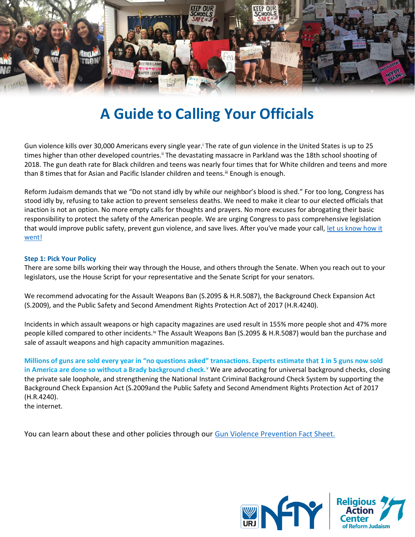

# **A Guide to Calling Your Officials**

Gun violence kills over 30,000 Americans every single year.<sup>i</sup> The rate of gun violence in the United States is up to 25 times higher than other developed countries.<sup>ii</sup> The devastating massacre in Parkland was the 18th school shooting of 2018. The gun death rate for Black children and teens was nearly four times that for White children and teens and more than 8 times that for Asian and Pacific Islander children and teens.<sup>iii</sup> Enough is enough.

Reform Judaism demands that we "Do not stand idly by while our neighbor's blood is shed." For too long, Congress has stood idly by, refusing to take action to prevent senseless deaths. We need to make it clear to our elected officials that inaction is not an option. No more empty calls for thoughts and prayers. No more excuses for abrogating their basic responsibility to protect the safety of the American people. We are urging Congress to pass comprehensive legislation that would improve public safety, prevent gun violence, and save lives. After you've made your call, let us know how it [went!](https://racrj.wufoo.com/forms/s14pzkdj1vhojnh/)

# **Step 1: Pick Your Policy**

There are some bills working their way through the House, and others through the Senate. When you reach out to your legislators, use the House Script for your representative and the Senate Script for your senators.

We recommend advocating for the Assault Weapons Ban (S.2095 & H.R.5087), the Background Check Expansion Act (S.2009), and the Public Safety and Second Amendment Rights Protection Act of 2017 (H.R.4240).

Incidents in which assault weapons or high capacity magazines are used result in 155% more people shot and 47% more people killed compared to other incidents.iv The Assault Weapons Ban (S.2095 & H.R.5087) would ban the purchase and sale of assault weapons and high capacity ammunition magazines.

**Millions of guns are sold every year in "no questions asked" transactions. Experts estimate that 1 in 5 guns now sold in America are done so without a Brady background check.<sup>v</sup>** We are advocating for universal background checks, closing the private sale loophole, and strengthening the National Instant Criminal Background Check System by supporting the Background Check Expansion Act (S.2009and the Public Safety and Second Amendment Rights Protection Act of 2017 (H.R.4240).

the internet.

You can learn about these and other policies through our [Gun Violence Prevention Fact Sheet.](https://nfty.org/wp-content/uploads/sites/32/2018/03/Gun-Violence-Prevention-Fact-Sheet.pdf)

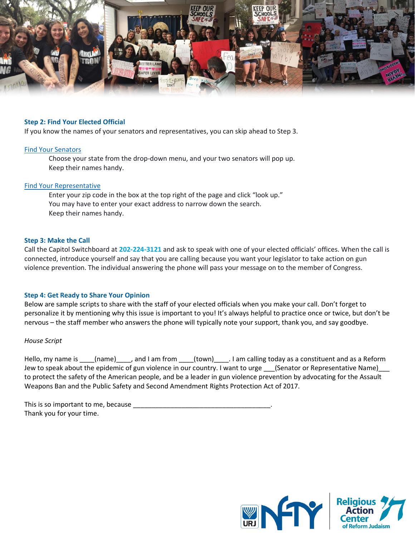

## **Step 2: Find Your Elected Official**

If you know the names of your senators and representatives, you can skip ahead to Step 3.

#### [Find Your Senators](https://www.senate.gov/senators/contact)

Choose your state from the drop-down menu, and your two senators will pop up. Keep their names handy.

#### [Find Your Representative](https://www.house.gov/representatives)

Enter your zip code in the box at the top right of the page and click "look up." You may have to enter your exact address to narrow down the search. Keep their names handy.

#### **Step 3: Make the Call**

Call the Capitol Switchboard at **202-224-3121** and ask to speak with one of your elected officials' offices. When the call is connected, introduce yourself and say that you are calling because you want your legislator to take action on gun violence prevention. The individual answering the phone will pass your message on to the member of Congress.

## **Step 4: Get Ready to Share Your Opinion**

Below are sample scripts to share with the staff of your elected officials when you make your call. Don't forget to personalize it by mentioning why this issue is important to you! It's always helpful to practice once or twice, but don't be nervous – the staff member who answers the phone will typically note your support, thank you, and say goodbye.

## *House Script*

Hello, my name is \_\_\_\_(name)\_\_\_\_, and I am from \_\_\_\_(town)\_\_\_\_. I am calling today as a constituent and as a Reform Jew to speak about the epidemic of gun violence in our country. I want to urge \_\_\_(Senator or Representative Name) to protect the safety of the American people, and be a leader in gun violence prevention by advocating for the Assault Weapons Ban and the Public Safety and Second Amendment Rights Protection Act of 2017.

| This is so important to me, because |  |
|-------------------------------------|--|
| Thank you for your time.            |  |